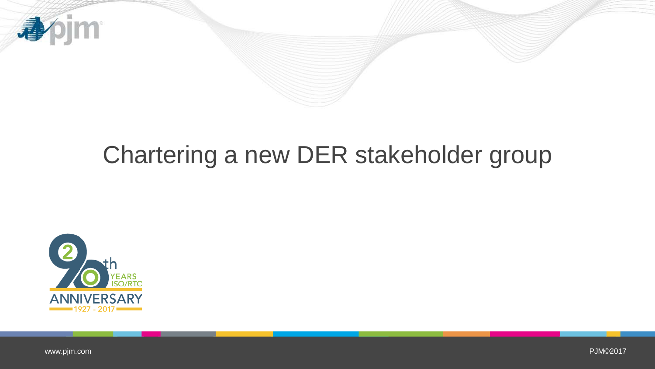

## Chartering a new DER stakeholder group



[www.pjm.com](http://www.pjm.com/)

PJM©2017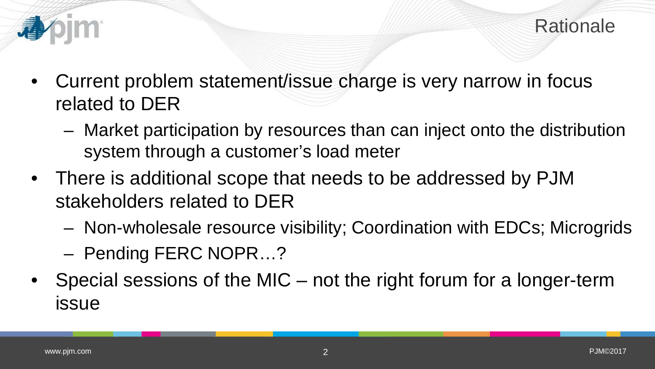- - Current problem statement/issue charge is very narrow in focus related to DER
		- Market participation by resources than can inject onto the distribution system through a customer's load meter
	- There is additional scope that needs to be addressed by PJM stakeholders related to DER
		- Non-wholesale resource visibility; Coordination with EDCs; Microgrids
		- Pending FERC NOPR…?
	- Special sessions of the MIC not the right forum for a longer-term issue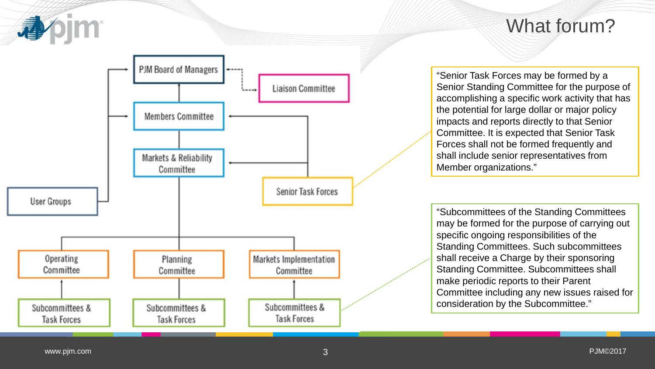

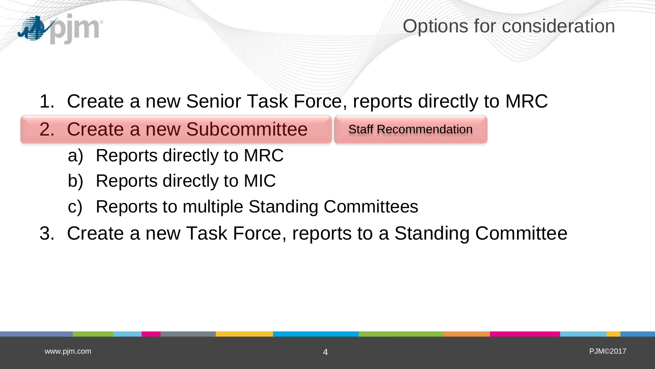## Options for consideration

- 1. Create a new Senior Task Force, reports directly to MRC
- 2. Create a new Subcommittee

Staff Recommendation

- a) Reports directly to MRC
- b) Reports directly to MIC
- c) Reports to multiple Standing Committees
- 3. Create a new Task Force, reports to a Standing Committee